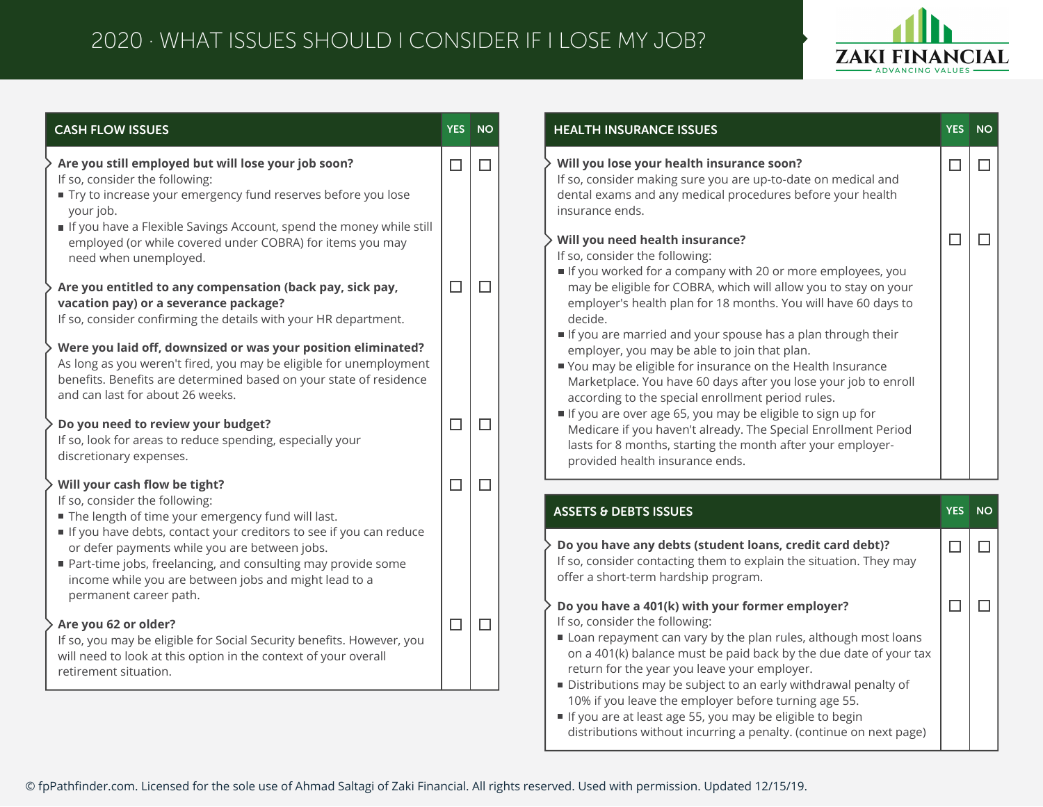## 2020 · WHAT ISSUES SHOULD I CONSIDER IF I LOSE MY JOB?



| <b>CASH FLOW ISSUES</b>                                                                                                                                                                                                                       | YES NO |        | <b>HEALTH INSURANCE ISSUES</b>                                                                                                                                                                                                                                                                           |  |
|-----------------------------------------------------------------------------------------------------------------------------------------------------------------------------------------------------------------------------------------------|--------|--------|----------------------------------------------------------------------------------------------------------------------------------------------------------------------------------------------------------------------------------------------------------------------------------------------------------|--|
| Are you still employed but will lose your job soon?<br>If so, consider the following:<br>Try to increase your emergency fund reserves before you lose<br>your job.                                                                            | $\Box$ | $\Box$ | Will you lose your health insurance soon?<br>If so, consider making sure you are up-to-date on medical and<br>dental exams and any medical procedures before your health<br>insurance ends.                                                                                                              |  |
| If you have a Flexible Savings Account, spend the money while still<br>employed (or while covered under COBRA) for items you may<br>need when unemployed.                                                                                     |        |        | Will you need health insurance?<br>If so, consider the following:<br>If you worked for a company with 20 or more employees, you                                                                                                                                                                          |  |
| Are you entitled to any compensation (back pay, sick pay,<br>vacation pay) or a severance package?<br>If so, consider confirming the details with your HR department.                                                                         | $\Box$ | $\Box$ | may be eligible for COBRA, which will allow you to stay on your<br>employer's health plan for 18 months. You will have 60 days to<br>decide.<br>If you are married and your spouse has a plan through their                                                                                              |  |
| Were you laid off, downsized or was your position eliminated?<br>As long as you weren't fired, you may be eligible for unemployment<br>benefits. Benefits are determined based on your state of residence<br>and can last for about 26 weeks. |        |        | employer, you may be able to join that plan.<br>You may be eligible for insurance on the Health Insurance<br>Marketplace. You have 60 days after you lose your job to enroll<br>according to the special enrollment period rules.                                                                        |  |
| Do you need to review your budget?<br>If so, look for areas to reduce spending, especially your<br>discretionary expenses.                                                                                                                    | $\Box$ | $\Box$ | If you are over age 65, you may be eligible to sign up for<br>Medicare if you haven't already. The Special Enrollment Period<br>lasts for 8 months, starting the month after your employer-<br>provided health insurance ends.                                                                           |  |
| Will your cash flow be tight?                                                                                                                                                                                                                 | $\Box$ | $\Box$ |                                                                                                                                                                                                                                                                                                          |  |
| If so, consider the following:<br>The length of time your emergency fund will last.                                                                                                                                                           |        |        | <b>ASSETS &amp; DEBTS ISSUES</b>                                                                                                                                                                                                                                                                         |  |
| If you have debts, contact your creditors to see if you can reduce<br>or defer payments while you are between jobs.<br>Part-time jobs, freelancing, and consulting may provide some<br>income while you are between jobs and might lead to a  |        |        | Do you have any debts (student loans, credit card debt)?<br>If so, consider contacting them to explain the situation. They may<br>offer a short-term hardship program.                                                                                                                                   |  |
| permanent career path.<br>Are you 62 or older?<br>If so, you may be eligible for Social Security benefits. However, you<br>will need to look at this option in the context of your overall                                                    | $\Box$ | $\Box$ | Do you have a 401(k) with your former employer?<br>If so, consider the following:<br>Loan repayment can vary by the plan rules, although most loans<br>on a 401(k) balance must be paid back by the due date of your tax                                                                                 |  |
| retirement situation.                                                                                                                                                                                                                         |        |        | return for the year you leave your employer.<br>Distributions may be subject to an early withdrawal penalty of<br>10% if you leave the employer before turning age 55.<br>If you are at least age 55, you may be eligible to begin<br>distributions without incurring a penalty. (continue on next page) |  |